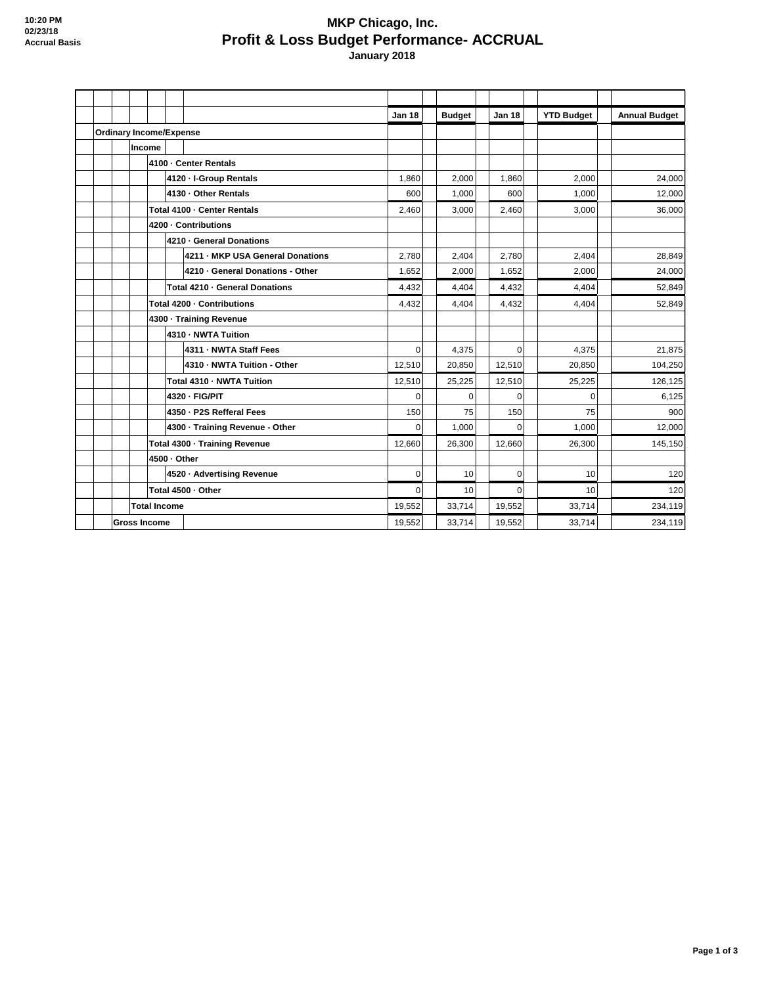## **MKP Chicago, Inc. Profit & Loss Budget Performance- ACCRUAL January 2018**

|                                |                       |                             |  |                                  | <b>Jan 18</b>  | <b>Budget</b>  | <b>Jan 18</b>  | <b>YTD Budget</b> | <b>Annual Budget</b> |
|--------------------------------|-----------------------|-----------------------------|--|----------------------------------|----------------|----------------|----------------|-------------------|----------------------|
| <b>Ordinary Income/Expense</b> |                       |                             |  |                                  |                |                |                |                   |                      |
|                                | Income                |                             |  |                                  |                |                |                |                   |                      |
|                                | 4100 - Center Rentals |                             |  |                                  |                |                |                |                   |                      |
|                                |                       |                             |  | 4120 - I-Group Rentals           | 1,860          | 2,000          | 1,860          | 2,000             | 24,000               |
|                                |                       |                             |  | 4130 - Other Rentals             | 600            | 1,000          | 600            | 1,000             | 12,000               |
|                                |                       | Total 4100 - Center Rentals |  |                                  | 2,460          | 3,000          | 2,460          | 3,000             | 36,000               |
|                                | 4200 - Contributions  |                             |  |                                  |                |                |                |                   |                      |
|                                |                       |                             |  | 4210 · General Donations         |                |                |                |                   |                      |
|                                |                       |                             |  | 4211 - MKP USA General Donations | 2,780          | 2,404          | 2,780          | 2,404             | 28,849               |
|                                |                       |                             |  | 4210 - General Donations - Other | 1,652          | 2,000          | 1,652          | 2.000             | 24,000               |
|                                |                       |                             |  | Total 4210 - General Donations   | 4.432          | 4.404          | 4,432          | 4.404             | 52,849               |
|                                |                       | Total 4200 - Contributions  |  | 4,432                            | 4,404          | 4,432          | 4,404          | 52.849            |                      |
|                                |                       | 4300 · Training Revenue     |  |                                  |                |                |                |                   |                      |
|                                |                       |                             |  | 4310 - NWTA Tuition              |                |                |                |                   |                      |
|                                |                       |                             |  | 4311 - NWTA Staff Fees           | $\overline{0}$ | 4,375          | $\overline{0}$ | 4,375             | 21,875               |
|                                |                       |                             |  | 4310 - NWTA Tuition - Other      | 12,510         | 20,850         | 12,510         | 20,850            | 104,250              |
|                                |                       |                             |  | Total 4310 - NWTA Tuition        | 12,510         | 25,225         | 12,510         | 25,225            | 126,125              |
|                                |                       |                             |  | 4320 - FIG/PIT                   | 0              | 0              | $\mathbf 0$    | 0                 | 6,125                |
|                                |                       |                             |  | 4350 - P2S Refferal Fees         | 150            | 75             | 150            | 75                | 900                  |
|                                |                       |                             |  | 4300 - Training Revenue - Other  | $\Omega$       | 1,000          | $\Omega$       | 1,000             | 12,000               |
|                                |                       |                             |  | Total 4300 - Training Revenue    | 12,660         | 26,300         | 12,660         | 26,300            | 145,150              |
|                                | 4500 - Other          |                             |  |                                  |                |                |                |                   |                      |
|                                |                       | 4520 · Advertising Revenue  |  | 0                                | 10             | $\overline{0}$ | 10             | 120               |                      |
|                                | Total 4500 - Other    |                             |  |                                  | 0              | 10             | $\mathbf 0$    | 10                | 120                  |
| <b>Total Income</b>            |                       |                             |  |                                  | 19,552         | 33,714         | 19,552         | 33,714            | 234,119              |
| <b>Gross Income</b>            |                       |                             |  |                                  | 19.552         | 33,714         | 19.552         | 33,714            | 234,119              |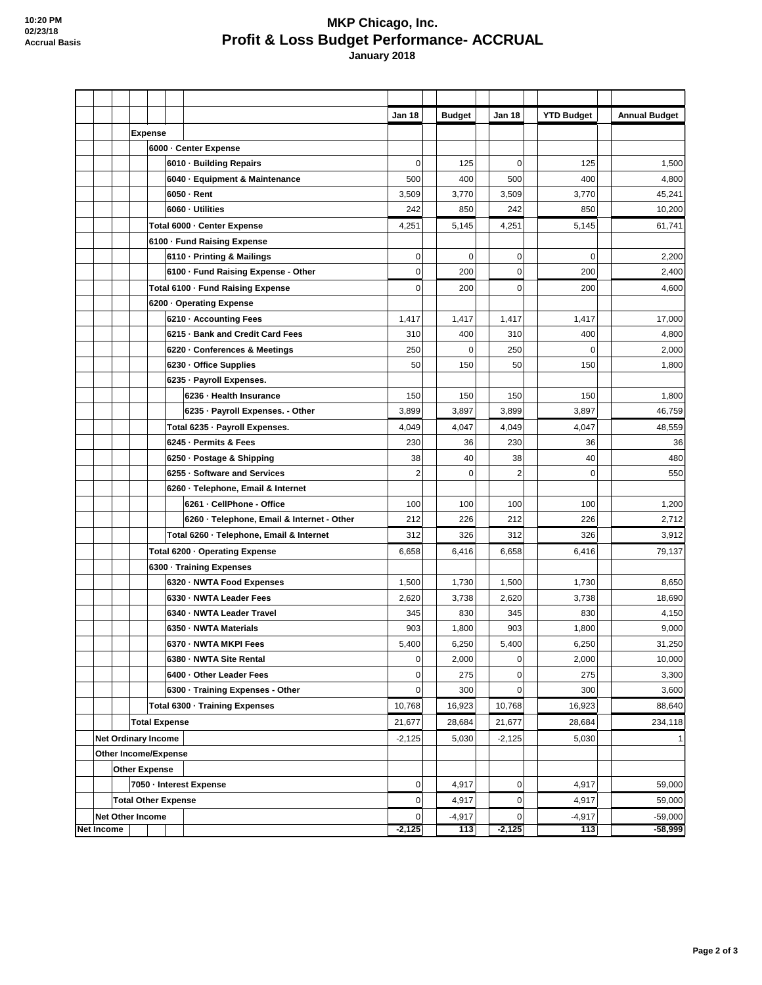## **MKP Chicago, Inc. Profit & Loss Budget Performance- ACCRUAL January 2018**

|                            |                            |                                |                             |  |                                            | Jan 18   |        | <b>Budget</b> | Jan 18      | <b>YTD Budget</b> | <b>Annual Budget</b> |
|----------------------------|----------------------------|--------------------------------|-----------------------------|--|--------------------------------------------|----------|--------|---------------|-------------|-------------------|----------------------|
|                            |                            |                                | <b>Expense</b>              |  |                                            |          |        |               |             |                   |                      |
|                            |                            |                                | 6000 - Center Expense       |  |                                            |          |        |               |             |                   |                      |
|                            |                            |                                |                             |  | 6010 · Building Repairs                    | 0        |        | 125           | 0           | 125               | 1,500                |
|                            |                            |                                |                             |  | 6040 - Equipment & Maintenance             | 500      |        | 400           | 500         | 400               | 4,800                |
|                            |                            |                                |                             |  | 6050 - Rent                                | 3,509    |        | 3,770         | 3,509       | 3,770             | 45,241               |
|                            |                            |                                |                             |  | 6060 - Utilities                           | 242      |        | 850           | 242         | 850               | 10,200               |
|                            |                            |                                | Total 6000 - Center Expense |  |                                            | 4,251    |        | 5,145         | 4,251       | 5,145             | 61,741               |
|                            |                            |                                |                             |  | 6100 - Fund Raising Expense                |          |        |               |             |                   |                      |
|                            |                            |                                |                             |  | 6110 - Printing & Mailings                 | 0        |        | $\mathbf 0$   | 0           | $\mathbf 0$       | 2,200                |
|                            |                            |                                |                             |  | 6100 - Fund Raising Expense - Other        | 0        |        | 200           | 0           | 200               | 2,400                |
|                            |                            |                                |                             |  | Total 6100 - Fund Raising Expense          | 0        |        | 200           | $\mathbf 0$ | 200               | 4,600                |
|                            |                            |                                |                             |  | 6200 · Operating Expense                   |          |        |               |             |                   |                      |
|                            |                            |                                |                             |  | 6210 · Accounting Fees                     | 1,417    |        | 1,417         | 1,417       | 1,417             | 17,000               |
|                            |                            |                                |                             |  | 6215 · Bank and Credit Card Fees           | 310      |        | 400           | 310         | 400               | 4,800                |
|                            |                            |                                |                             |  | 6220 - Conferences & Meetings              | 250      |        | 0             | 250         | $\mathbf 0$       | 2,000                |
|                            |                            |                                |                             |  | 6230 · Office Supplies                     | 50       |        | 150           | 50          | 150               | 1,800                |
|                            |                            |                                |                             |  | 6235 - Payroll Expenses.                   |          |        |               |             |                   |                      |
|                            |                            |                                |                             |  | 6236 - Health Insurance                    | 150      |        | 150           | 150         | 150               | 1,800                |
|                            |                            |                                |                             |  | 6235 - Payroll Expenses. - Other           | 3,899    |        | 3,897         | 3,899       | 3,897             | 46,759               |
|                            |                            |                                |                             |  | Total 6235 - Payroll Expenses.             | 4,049    |        | 4,047         | 4,049       | 4,047             | 48,559               |
|                            |                            |                                |                             |  | 6245 - Permits & Fees                      | 230      |        | 36            | 230         | 36                | 36                   |
|                            |                            |                                |                             |  | 6250 - Postage & Shipping                  | 38       |        | 40            | 38          | 40                | 480                  |
|                            |                            |                                |                             |  | 6255 - Software and Services               | 2        |        | 0             | 2           | $\mathbf 0$       | 550                  |
|                            |                            |                                |                             |  | 6260 - Telephone, Email & Internet         |          |        |               |             |                   |                      |
|                            |                            |                                |                             |  | 6261 - CellPhone - Office                  | 100      |        | 100           | 100         | 100               | 1,200                |
|                            |                            |                                |                             |  | 6260 - Telephone, Email & Internet - Other | 212      |        | 226           | 212         | 226               | 2,712                |
|                            |                            |                                |                             |  | Total 6260 - Telephone, Email & Internet   | 312      |        | 326           | 312         | 326               | 3,912                |
|                            |                            | Total 6200 · Operating Expense |                             |  |                                            | 6,658    |        | 6,416         | 6,658       | 6,416             | 79,137               |
|                            |                            | 6300 - Training Expenses       |                             |  |                                            |          |        |               |             |                   |                      |
|                            |                            |                                |                             |  | 6320 · NWTA Food Expenses                  | 1,500    |        | 1,730         | 1,500       | 1,730             | 8,650                |
|                            |                            |                                |                             |  | 6330 - NWTA Leader Fees                    | 2,620    |        | 3,738         | 2,620       | 3,738             | 18,690               |
|                            |                            |                                |                             |  | 6340 - NWTA Leader Travel                  | 345      |        | 830           | 345         | 830               | 4,150                |
|                            |                            |                                |                             |  | 6350 - NWTA Materials                      | 903      |        | 1,800         | 903         | 1,800             | 9,000                |
|                            |                            |                                |                             |  | 6370 - NWTA MKPI Fees                      | 5,400    |        | 6,250         | 5,400       | 6,250             | 31,250               |
|                            |                            |                                |                             |  | 6380 - NWTA Site Rental                    | 0        |        | 2,000         | 0           | 2,000             | 10,000               |
|                            |                            |                                |                             |  | 6400 - Other Leader Fees                   | 0        |        | 275           | 0           | 275               | 3,300                |
|                            |                            |                                |                             |  | 6300 - Training Expenses - Other           | 0        |        | 300           | 0           | 300               | 3,600                |
|                            |                            | Total 6300 - Training Expenses |                             |  |                                            | 10,768   |        | 16,923        | 10,768      | 16,923            | 88,640               |
|                            | <b>Total Expense</b>       |                                |                             |  | 21,677<br>$-2,125$                         |          | 28,684 | 21,677        | 28,684      | 234,118           |                      |
|                            | <b>Net Ordinary Income</b> |                                |                             |  |                                            |          |        | 5,030         | $-2,125$    | 5,030             | 1                    |
| Other Income/Expense       |                            |                                |                             |  |                                            |          |        |               |             |                   |                      |
|                            | <b>Other Expense</b>       |                                |                             |  |                                            |          |        |               |             |                   |                      |
|                            |                            |                                |                             |  | 7050 - Interest Expense                    | 0        |        | 4,917         | 0           | 4,917             | 59,000               |
| <b>Total Other Expense</b> |                            |                                |                             |  |                                            | 0        |        | 4,917         | 0           | 4,917             | 59,000               |
|                            |                            | <b>Net Other Income</b>        |                             |  |                                            | 0        |        | $-4,917$      | 0           | $-4,917$          | $-59,000$            |
| Net Income                 |                            |                                |                             |  |                                            | $-2,125$ |        | 113           | $-2,125$    | 113               | $-58,999$            |